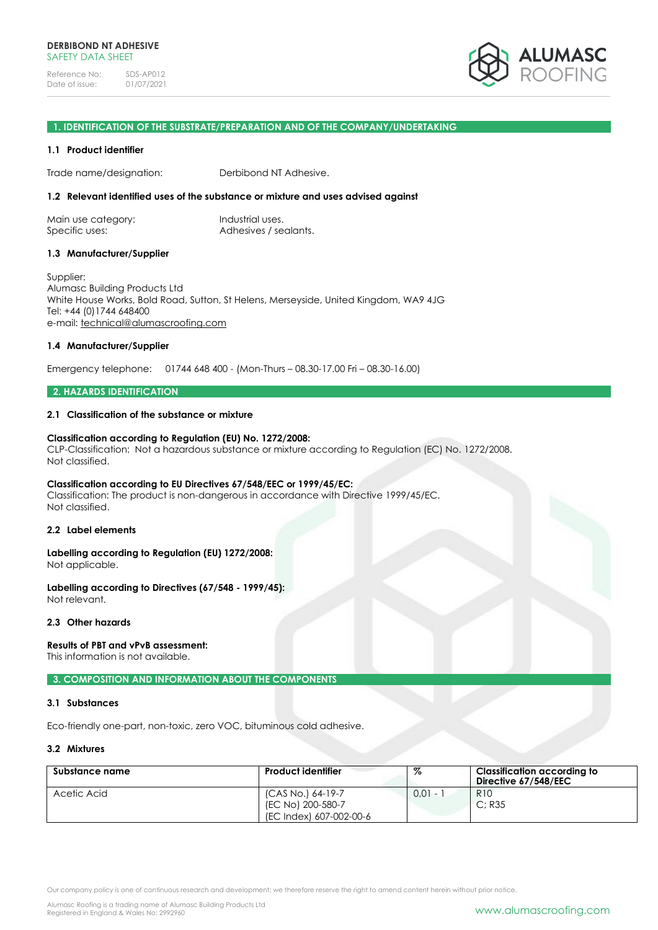

#### **1. IDENTIFICATION OF THE SUBSTRATE/PREPARATION AND OF THE COMPANY/UNDERTAKING**

#### **1.1 Product identifier**

Trade name/designation: Derbibond NT Adhesive.

# **1.2 Relevant identified uses of the substance or mixture and uses advised against**

Main use category: Industrial uses. Specific uses: Adhesives / sealants.

#### **1.3 Manufacturer/Supplier**

Supplier: Alumasc Building Products Ltd White House Works, Bold Road, Sutton, St Helens, Merseyside, United Kingdom, WA9 4JG Tel: +44 (0)1744 648400 e-mail: [technical@alumascroofing.com](mailto:technical@alumascroofing.com)

#### **1.4 Manufacturer/Supplier**

Emergency telephone: 01744 648 400 - (Mon-Thurs – 08.30-17.00 Fri – 08.30-16.00)

#### **2. HAZARDS IDENTIFICATION**

#### **2.1 Classification of the substance or mixture**

#### **Classification according to Regulation (EU) No. 1272/2008:**

CLP-Classification: Not a hazardous substance or mixture according to Regulation (EC) No. 1272/2008. Not classified.

#### **Classification according to EU Directives 67/548/EEC or 1999/45/EC:**

Classification: The product is non-dangerous in accordance with Directive 1999/45/EC. Not classified.

#### **2.2 Label elements**

#### **Labelling according to Regulation (EU) 1272/2008:** Not applicable.

**Labelling according to Directives (67/548 - 1999/45):** Not relevant.

#### **2.3 Other hazards**

#### **Results of PBT and vPvB assessment:**

This information is not available.

#### **3. COMPOSITION AND INFORMATION ABOUT THE COMPONENTS**

#### **3.1 Substances**

Eco-friendly one-part, non-toxic, zero VOC, bituminous cold adhesive.

#### **3.2 Mixtures**

| Substance name | <b>Product identifier</b> | %          | Classification according to<br>Directive 67/548/EEC |
|----------------|---------------------------|------------|-----------------------------------------------------|
| Acetic Acid    | (CAS No.) 64-19-7         | $0.01 - 1$ | R <sub>10</sub>                                     |
|                | (EC No) 200-580-7         |            | C: R35                                              |
|                | (EC Index) 607-002-00-6   |            |                                                     |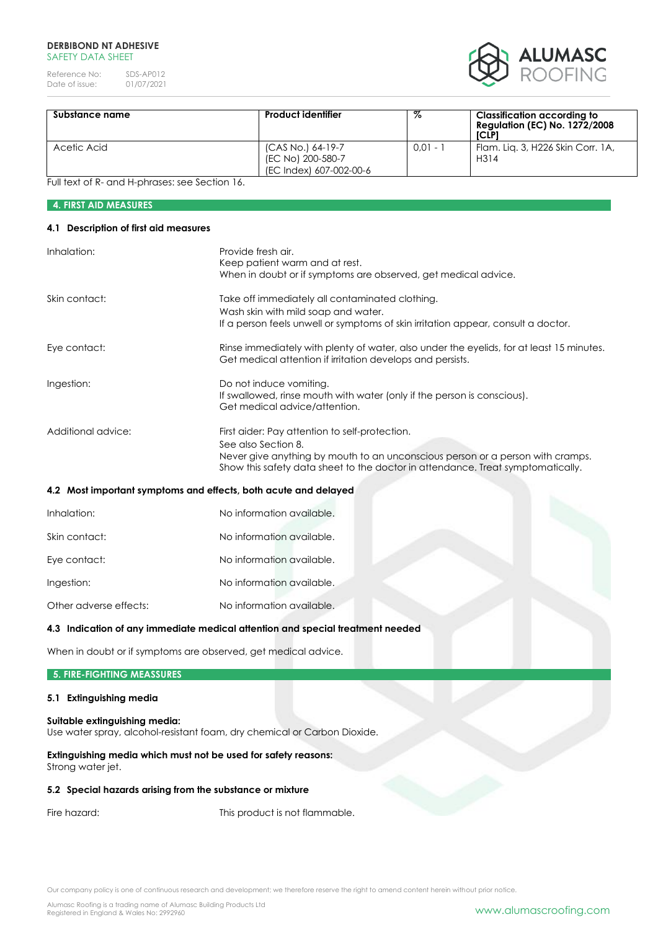#### **DERBIBOND NT ADHESIVE**  SAFFTY DATA SHFFT

Reference No: SDS-AP012<br>Date of issue: 01/07/2021 Date of issue:



| Substance name | <b>Product identifier</b>                                         | %          | Classification according to<br><b>Regulation (EC) No. 1272/2008</b><br>[CLP] |
|----------------|-------------------------------------------------------------------|------------|------------------------------------------------------------------------------|
| Acetic Acid    | (CAS No.) 64-19-7<br>(EC No) 200-580-7<br>(EC Index) 607-002-00-6 | $0.01 - 1$ | Flam. Lig. 3, H226 Skin Corr. 1A,<br>H314                                    |

Full text of R- and H-phrases: see Section 16.

# **4. FIRST AID MEASURES**

#### **4.1 Description of first aid measures**

| Inhalation:            | Provide fresh air.                                                                                                                                                                                                                         |
|------------------------|--------------------------------------------------------------------------------------------------------------------------------------------------------------------------------------------------------------------------------------------|
|                        | Keep patient warm and at rest.<br>When in doubt or if symptoms are observed, get medical advice.                                                                                                                                           |
| Skin contact:          | Take off immediately all contaminated clothing.                                                                                                                                                                                            |
|                        | Wash skin with mild soap and water.<br>If a person feels unwell or symptoms of skin irritation appear, consult a doctor.                                                                                                                   |
| Eye contact:           | Rinse immediately with plenty of water, also under the eyelids, for at least 15 minutes.<br>Get medical attention if irritation develops and persists.                                                                                     |
| Ingestion:             | Do not induce vomiting.<br>If swallowed, rinse mouth with water (only if the person is conscious).<br>Get medical advice/attention.                                                                                                        |
| Additional advice:     | First aider: Pay attention to self-protection.<br>See also Section 8.<br>Never give anything by mouth to an unconscious person or a person with cramps.<br>Show this safety data sheet to the doctor in attendance. Treat symptomatically. |
|                        | 4.2 Most important symptoms and effects, both acute and delayed                                                                                                                                                                            |
| Inhalation:            | No information available.                                                                                                                                                                                                                  |
| Skin contact:          | No information available.                                                                                                                                                                                                                  |
| Eye contact:           | No information available.                                                                                                                                                                                                                  |
| Ingestion:             | No information available.                                                                                                                                                                                                                  |
| Other adverse effects: | No information available.                                                                                                                                                                                                                  |
|                        | 4.3 Indication of any immediate medical attention and special treatment needed                                                                                                                                                             |

When in doubt or if symptoms are observed, get medical advice.

# **5. FIRE-FIGHTING MEASSURES**

# **5.1 Extinguishing media**

#### **Suitable extinguishing media:**

Use water spray, alcohol-resistant foam, dry chemical or Carbon Dioxide.

## **Extinguishing media which must not be used for safety reasons:** Strong water jet.

# **5.2 Special hazards arising from the substance or mixture**

Fire hazard: This product is not flammable.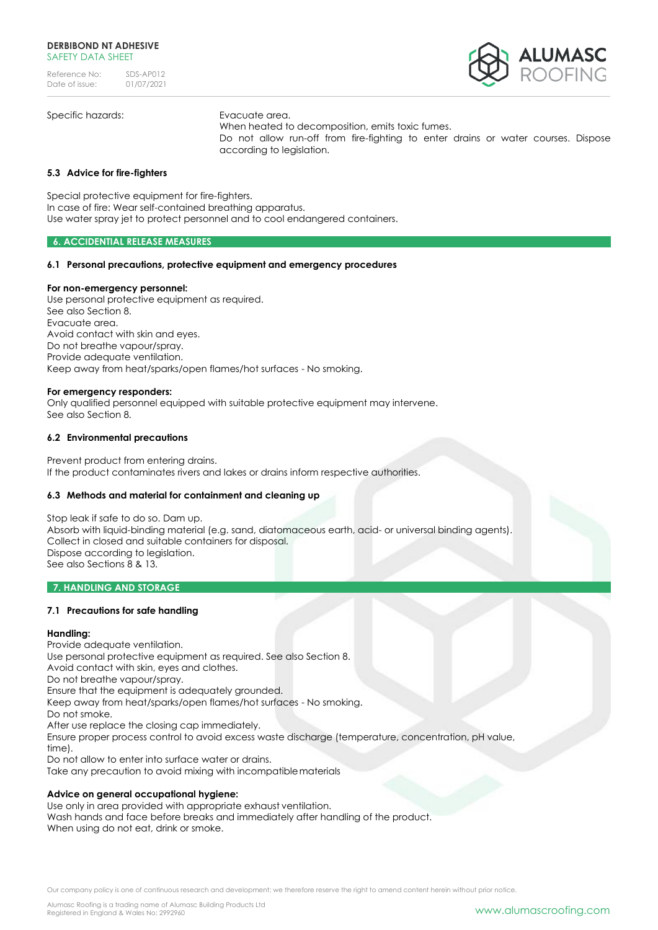

Specific hazards: Evacuate area.

When heated to decomposition, emits toxic fumes. Do not allow run-off from fire-fighting to enter drains or water courses. Dispose according to legislation.

# **5.3 Advice for fire-fighters**

Special protective equipment for fire-fighters. In case of fire: Wear self-contained breathing apparatus. Use water spray jet to protect personnel and to cool endangered containers.

#### **6. ACCIDENTIAL RELEASE MEASURES**

# **6.1 Personal precautions, protective equipment and emergency procedures**

#### **For non-emergency personnel:**

Use personal protective equipment as required. See also Section 8. Evacuate area. Avoid contact with skin and eyes. Do not breathe vapour/spray. Provide adequate ventilation. Keep away from heat/sparks/open flames/hot surfaces - No smoking.

#### **For emergency responders:**

Only qualified personnel equipped with suitable protective equipment may intervene. See also Section 8.

#### **6.2 Environmental precautions**

Prevent product from entering drains. If the product contaminates rivers and lakes or drains inform respective authorities.

#### **6.3 Methods and material for containment and cleaning up**

Stop leak if safe to do so. Dam up. Absorb with liquid-binding material (e.g. sand, diatomaceous earth, acid- or universal binding agents). Collect in closed and suitable containers for disposal. Dispose according to legislation. See also Sections 8 & 13.

#### **7. HANDLING AND STORAGE**

# **7.1 Precautions for safe handling**

#### **Handling:**

Provide adequate ventilation. Use personal protective equipment as required. See also Section 8. Avoid contact with skin, eyes and clothes. Do not breathe vapour/spray. Ensure that the equipment is adequately grounded. Keep away from heat/sparks/open flames/hot surfaces - No smoking. Do not smoke. After use replace the closing cap immediately. Ensure proper process control to avoid excess waste discharge (temperature, concentration, pH value, time). Do not allow to enter into surface water or drains.

Take any precaution to avoid mixing with incompatiblematerials

#### **Advice on general occupational hygiene:**

Use only in area provided with appropriate exhaust ventilation. Wash hands and face before breaks and immediately after handling of the product. When using do not eat, drink or smoke.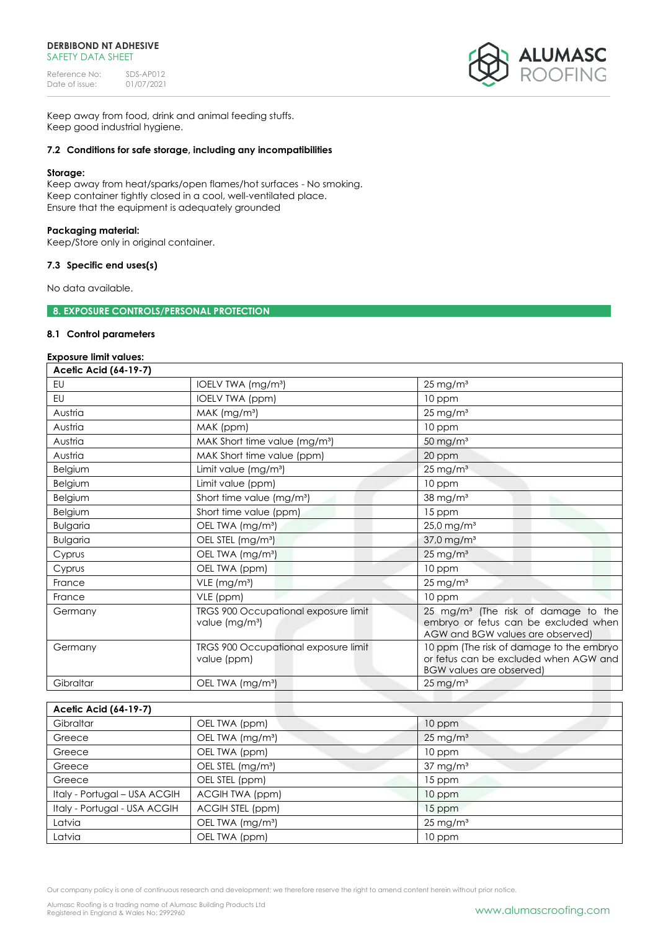#### **DERBIBOND NT ADHESIVE**  SAFFTY DATA SHFFT

Reference No: SDS-AP012<br>Date of issue: 01/07/2021 Date of issue:



Keep away from food, drink and animal feeding stuffs. Keep good industrial hygiene.

# **7.2 Conditions for safe storage, including any incompatibilities**

#### **Storage:**

Keep away from heat/sparks/open flames/hot surfaces - No smoking. Keep container tightly closed in a cool, well-ventilated place. Ensure that the equipment is adequately grounded

# **Packaging material:**

Keep/Store only in original container.

# **7.3 Specific end uses(s)**

No data available.

**8. EXPOSURE CONTROLS/PERSONAL PROTECTION** 

#### **8.1 Control parameters**

# **Exposure limit values:**

| Acetic Acid (64-19-7) |                                                                    |                                                                                                                             |
|-----------------------|--------------------------------------------------------------------|-----------------------------------------------------------------------------------------------------------------------------|
| EU                    | IOELV TWA (mg/m <sup>3</sup> )                                     | $25 \,\mathrm{mg/m^3}$                                                                                                      |
| EU                    | IOELV TWA (ppm)                                                    | 10 ppm                                                                                                                      |
| Austria               | MAK (mg/m <sup>3</sup> )                                           | $25 \,\mathrm{mg/m^3}$                                                                                                      |
| Austria               | MAK (ppm)                                                          | 10 ppm                                                                                                                      |
| Austria               | MAK Short time value (mg/m <sup>3</sup> )                          | $50 \,\mathrm{mg/m^3}$                                                                                                      |
| Austria               | MAK Short time value (ppm)                                         | 20 ppm                                                                                                                      |
| Belgium               | Limit value (mg/m <sup>3</sup> )                                   | $25 \,\mathrm{mg/m^3}$                                                                                                      |
| Belgium               | Limit value (ppm)                                                  | 10 ppm                                                                                                                      |
| Belgium               | Short time value (mg/m <sup>3</sup> )                              | $38$ mg/m $3$                                                                                                               |
| Belgium               | Short time value (ppm)                                             | 15 ppm                                                                                                                      |
| <b>Bulgaria</b>       | OEL TWA (mg/m <sup>3</sup> )                                       | $25,0$ mg/m <sup>3</sup>                                                                                                    |
| <b>Bulgaria</b>       | OEL STEL (mg/m <sup>3</sup> )                                      | 37,0 mg/m <sup>3</sup>                                                                                                      |
| Cyprus                | OEL TWA (mg/m <sup>3</sup> )                                       | $25 \,\mathrm{mg/m^3}$                                                                                                      |
| Cyprus                | OEL TWA (ppm)                                                      | 10 ppm                                                                                                                      |
| France                | VLE (mg/m <sup>3</sup> )                                           | $25 \,\mathrm{mg/m^3}$                                                                                                      |
| France                | VLE (ppm)                                                          | 10 ppm                                                                                                                      |
| Germany               | TRGS 900 Occupational exposure limit<br>value (mg/m <sup>3</sup> ) | 25 mg/m <sup>3</sup> (The risk of damage to the<br>embryo or fetus can be excluded when<br>AGW and BGW values are observed) |
| Germany               | TRGS 900 Occupational exposure limit<br>value (ppm)                | 10 ppm (The risk of damage to the embryo<br>or fetus can be excluded when AGW and<br><b>BGW values are observed)</b>        |
| Gibraltar             | OEL TWA (mg/m <sup>3</sup> )                                       | $25 \,\mathrm{mg/m^3}$                                                                                                      |

| Acetic Acid (64-19-7)        |                               |                        |
|------------------------------|-------------------------------|------------------------|
| Gibraltar                    | OEL TWA (ppm)                 | 10 ppm                 |
| Greece                       | OEL TWA (mg/m <sup>3</sup> )  | $25 \,\mathrm{mg/m^3}$ |
| Greece                       | OEL TWA (ppm)                 | 10 ppm                 |
| Greece                       | OEL STEL (mg/m <sup>3</sup> ) | $37 \text{ mg/m}^3$    |
| Greece                       | OEL STEL (ppm)                | 15 ppm                 |
| Italy - Portugal - USA ACGIH | ACGIH TWA (ppm)               | 10 ppm                 |
| Italy - Portugal - USA ACGIH | ACGIH STEL (ppm)              | $15$ ppm               |
| Latvia                       | OEL TWA (mg/m <sup>3</sup> )  | $25 \,\mathrm{mg/m^3}$ |
| Latvia                       | OEL TWA (ppm)                 | 10 ppm                 |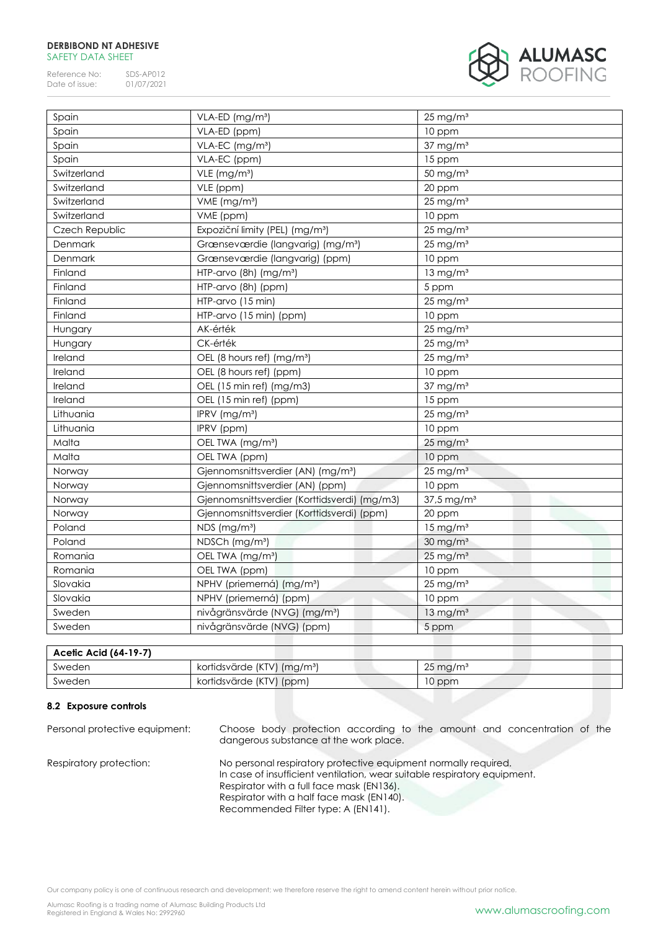#### **DERBIBOND NT ADHESIVE**  SAFETY DATA SHEET

Reference No: SDS-AP012<br>Date of issue: 01/07/2021 Date of issue:



| Spain<br>Spain<br>Spain | VLA-ED (ppm)<br>VLA-EC (mg/m <sup>3</sup> )    | 10 ppm                   |
|-------------------------|------------------------------------------------|--------------------------|
|                         |                                                |                          |
|                         |                                                | $37 \text{ mg/m}^3$      |
|                         | VLA-EC (ppm)                                   | 15 ppm                   |
| Switzerland             | VLE (mg/m <sup>3</sup> )                       | 50 mg/m <sup>3</sup>     |
| Switzerland             | VLE (ppm)                                      | 20 ppm                   |
| Switzerland             | VME (mg/m <sup>3</sup> )                       | $25$ mg/m <sup>3</sup>   |
| Switzerland             | VME (ppm)                                      | 10 ppm                   |
| Czech Republic          | Expoziční limity (PEL) (mg/m <sup>3</sup> )    | $25$ mg/m <sup>3</sup>   |
| Denmark                 | Grænseværdie (langvarig) (mg/m <sup>3</sup> )  | $25$ mg/m <sup>3</sup>   |
| Denmark                 | Grænseværdie (langvarig) (ppm)                 | 10 ppm                   |
| Finland                 | HTP-arvo (8h) (mg/m <sup>3</sup> )             | $13 \text{ mg/m}^3$      |
| Finland                 | HTP-arvo (8h) (ppm)                            | 5 ppm                    |
| Finland                 | HTP-arvo (15 min)                              | $25$ mg/m <sup>3</sup>   |
| Finland                 | HTP-arvo (15 min) (ppm)                        | 10 ppm                   |
| Hungary                 | AK-érték                                       | $25$ mg/m <sup>3</sup>   |
| Hungary                 | CK-érték                                       | $25 \text{ mg/m}^3$      |
| Ireland                 | OEL (8 hours ref) (mg/m <sup>3</sup> )         | $25 \text{ mg/m}^3$      |
| Ireland                 | OEL (8 hours ref) (ppm)                        | 10 ppm                   |
| Ireland                 | OEL (15 min ref) (mg/m3)                       | $37$ mg/m $3$            |
| Ireland                 | OEL (15 min ref) (ppm)                         | 15 ppm                   |
| Lithuania               | IPRV (mg/m <sup>3</sup> )                      | $25 \text{ mg/m}^3$      |
| Lithuania               | IPRV (ppm)                                     | 10 ppm                   |
| Malta                   | OEL TWA (mg/m <sup>3</sup> )                   | $25$ mg/m <sup>3</sup>   |
| Malta                   | OEL TWA (ppm)                                  | 10 ppm                   |
| Norway                  | Gjennomsnittsverdier (AN) (mg/m <sup>3</sup> ) | $25 \text{ mg/m}^3$      |
| Norway                  | Gjennomsnittsverdier (AN) (ppm)                | 10 ppm                   |
| Norway                  | Gjennomsnittsverdier (Korttidsverdi) (mg/m3)   | $37.5$ mg/m <sup>3</sup> |
| Norway                  | Gjennomsnittsverdier (Korttidsverdi) (ppm)     | 20 ppm                   |
| Poland                  | NDS (mg/m <sup>3</sup> )                       | $15 \text{ mg/m}^3$      |
| Poland                  | NDSCh (mg/m <sup>3</sup> )                     | $30 \text{ mg/m}^3$      |
| Romania                 | OEL TWA (mg/m <sup>3</sup> )                   | $25 \text{ mg/m}^3$      |
| Romania                 | OEL TWA (ppm)                                  | 10 ppm                   |
| Slovakia                | NPHV (priemerná) (mg/m <sup>3</sup> )          | $25$ mg/m <sup>3</sup>   |
| Slovakia                | NPHV (priemerná) (ppm)                         | 10 ppm                   |
| Sweden                  | nivågränsvärde (NVG) (mg/m <sup>3</sup> )      | $13 \text{ mg/m}^3$      |
| Sweden                  | nivågränsvärde (NVG) (ppm)                     | 5 ppm                    |

| Acetic Acid (64-19-7) |                                         |                        |
|-----------------------|-----------------------------------------|------------------------|
| Sweden                | kortidsvärde (KTV) (mg/m <sup>3</sup> ) | $25 \,\mathrm{mg/m^3}$ |
| Sweden                | kortidsvärde (KTV) (ppm)                | 10 ppm                 |

# **8.2 Exposure controls**

| Personal protective equipment: | Choose body protection according to the amount and concentration of the<br>dangerous substance at the work place.                                                                                                                                                             |
|--------------------------------|-------------------------------------------------------------------------------------------------------------------------------------------------------------------------------------------------------------------------------------------------------------------------------|
| Respiratory protection:        | No personal respiratory protective equipment normally required.<br>In case of insufficient ventilation, wear suitable respiratory equipment.<br>Respirator with a full face mask (EN136).<br>Respirator with a half face mask (EN140).<br>Recommended Filter type: A (EN141). |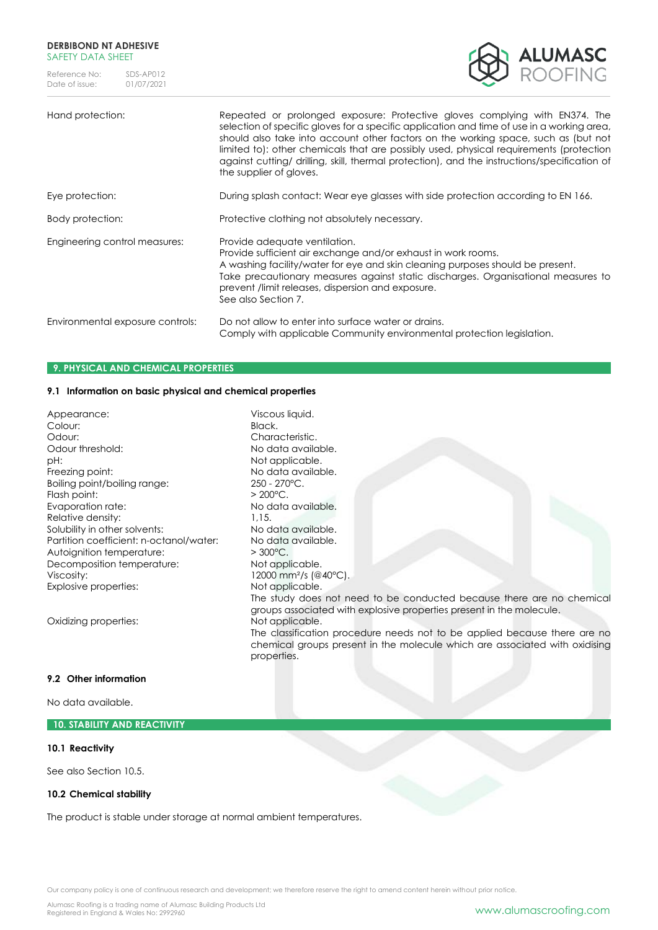#### **DERBIBOND NT ADHESIVE**  SAFETY DATA SHFFT

Reference No: SDS-AP012<br>Date of issue: 01/07/2021 Date of issue:



# Hand protection: Repeated or prolonged exposure: Protective gloves complying with EN374. The selection of specific gloves for a specific application and time of use in a working area, should also take into account other factors on the working space, such as (but not limited to): other chemicals that are possibly used, physical requirements (protection against cutting/ drilling, skill, thermal protection), and the instructions/specification of the supplier of gloves. Eye protection: During splash contact: Wear eye glasses with side protection according to EN 166. Body protection: Protective clothing not absolutely necessary. Engineering control measures: Provide adequate ventilation. Provide sufficient air exchange and/or exhaust in work rooms. A washing facility/water for eye and skin cleaning purposes should be present. Take precautionary measures against static discharges. Organisational measures to prevent /limit releases, dispersion and exposure. See also Section 7. Environmental exposure controls: Do not allow to enter into surface water or drains. Comply with applicable Community environmental protection legislation.

# **9. PHYSICAL AND CHEMICAL PROPERTIES**

# **9.1 Information on basic physical and chemical properties**

| Appearance:                             | Viscous liquid.                                                                                                                                                         |
|-----------------------------------------|-------------------------------------------------------------------------------------------------------------------------------------------------------------------------|
| Colour:                                 | Black.                                                                                                                                                                  |
| Odour:                                  | Characteristic.                                                                                                                                                         |
| Odour threshold:                        | No data available.                                                                                                                                                      |
| pH:                                     | Not applicable.                                                                                                                                                         |
| Freezing point:                         | No data available.                                                                                                                                                      |
| Boiling point/boiling range:            | $250 - 270$ °C.                                                                                                                                                         |
| Flash point:                            | $> 200^{\circ}$ C.                                                                                                                                                      |
| Evaporation rate:                       | No data available.                                                                                                                                                      |
| Relative density:                       | 1.15.                                                                                                                                                                   |
| Solubility in other solvents:           | No data available.                                                                                                                                                      |
| Partition coefficient: n-octanol/water: | No data available.                                                                                                                                                      |
| Autoignition temperature:               | $>300^{\circ}$ C.                                                                                                                                                       |
| Decomposition temperature:              | Not applicable.                                                                                                                                                         |
| Viscosity:                              | 12000 mm <sup>2</sup> /s (@40°C).                                                                                                                                       |
| Explosive properties:                   | Not applicable.                                                                                                                                                         |
|                                         | The study does not need to be conducted because there are no chemical<br>groups associated with explosive properties present in the molecule.                           |
| Oxidizing properties:                   | Not applicable.                                                                                                                                                         |
|                                         | The classification procedure needs not to be applied because there are no<br>chemical groups present in the molecule which are associated with oxidising<br>properties. |
|                                         |                                                                                                                                                                         |

# **9.2 Other information**

No data available.

# **10. STABILITY AND REACTIVITY**

#### **10.1 Reactivity**

See also Section 10.5.

# **10.2 Chemical stability**

The product is stable under storage at normal ambient temperatures.

Our company policy is one of continuous research and development; we therefore reserve the right to amend content herein without prior notice.

Alumasc Roofing is a trading name of Alumasc Building Products Ltd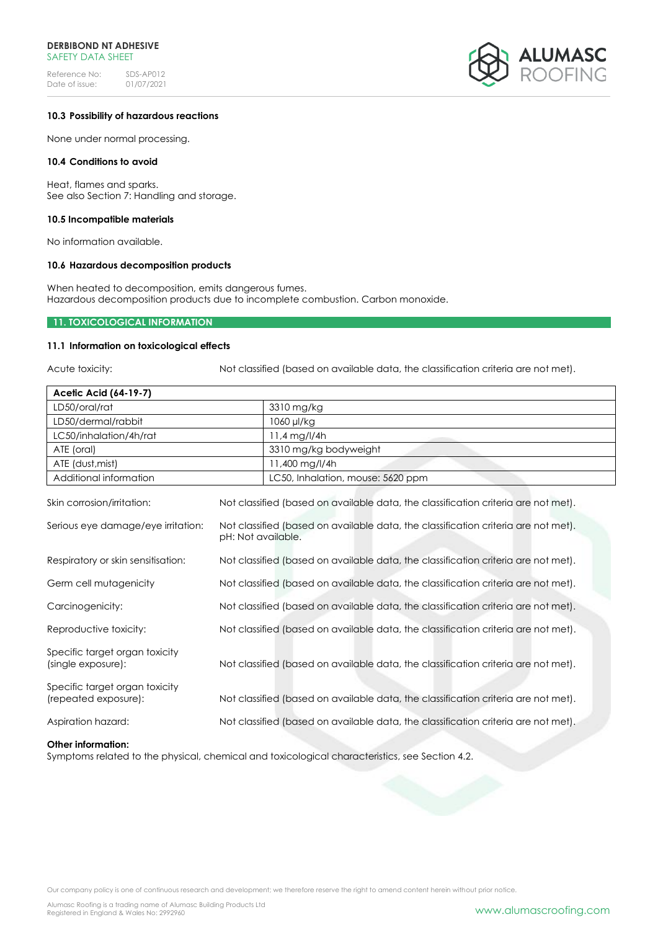#### **DERBIBOND NT ADHESIVE**  SAFFTY DATA SHFFT

Reference No: SDS-AP012<br>Date of issue: 01/07/2021 Date of issue:



#### **10.3 Possibility of hazardous reactions**

None under normal processing.

#### **10.4 Conditions to avoid**

Heat, flames and sparks. See also Section 7: Handling and storage.

#### **10.5 Incompatible materials**

No information available.

#### **10.6 Hazardous decomposition products**

When heated to decomposition, emits dangerous fumes. Hazardous decomposition products due to incomplete combustion. Carbon monoxide.

# **11. TOXICOLOGICAL INFORMATION**

#### **11.1 Information on toxicological effects**

Acute toxicity: Not classified (based on available data, the classification criteria are not met).

| Acetic Acid (64-19-7)                                  |                    |                                                                                    |
|--------------------------------------------------------|--------------------|------------------------------------------------------------------------------------|
| LD50/oral/rat                                          |                    | 3310 mg/kg                                                                         |
| LD50/dermal/rabbit                                     |                    | 1060 µl/kg                                                                         |
| LC50/inhalation/4h/rat                                 |                    | 11,4 mg/l/4h                                                                       |
| ATE (oral)                                             |                    | 3310 mg/kg bodyweight                                                              |
| ATE (dust, mist)                                       |                    | 11,400 mg/l/4h                                                                     |
| Additional information                                 |                    | LC50, Inhalation, mouse: 5620 ppm                                                  |
| Skin corrosion/irritation:                             |                    | Not classified (based on available data, the classification criteria are not met). |
| Serious eye damage/eye irritation:                     | pH: Not available. | Not classified (based on available data, the classification criteria are not met). |
| Respiratory or skin sensitisation:                     |                    | Not classified (based on available data, the classification criteria are not met). |
| Germ cell mutagenicity                                 |                    | Not classified (based on available data, the classification criteria are not met). |
| Carcinogenicity:                                       |                    | Not classified (based on available data, the classification criteria are not met). |
| Reproductive toxicity:                                 |                    | Not classified (based on available data, the classification criteria are not met). |
| Specific target organ toxicity<br>(single exposure):   |                    | Not classified (based on available data, the classification criteria are not met). |
| Specific target organ toxicity<br>(repeated exposure): |                    | Not classified (based on available data, the classification criteria are not met). |

Aspiration hazard: Not classified (based on available data, the classification criteria are not met).

#### **Other information:**

Symptoms related to the physical, chemical and toxicological characteristics, see Section 4.2.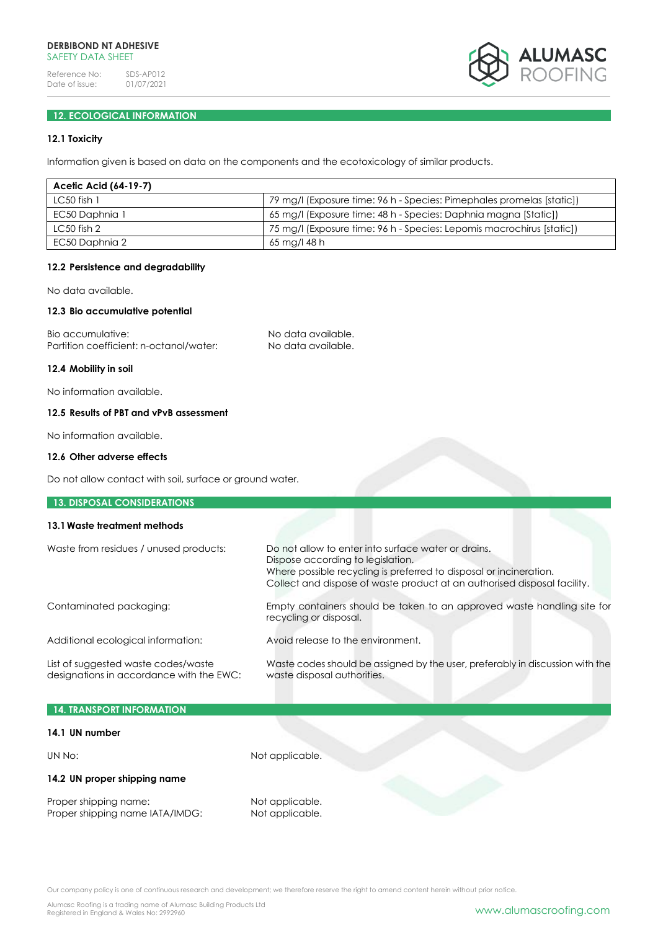

# **12. ECOLOGICAL INFORMATION**

# **12.1 Toxicity**

Information given is based on data on the components and the ecotoxicology of similar products.

| Acetic Acid (64-19-7) |                                                                       |
|-----------------------|-----------------------------------------------------------------------|
| $LC50$ fish 1         | 79 mg/l (Exposure time: 96 h - Species: Pimephales promelas [static]) |
| EC50 Daphnia 1        | 65 mg/l (Exposure time: 48 h - Species: Daphnia magna [Static])       |
| $LC50$ fish 2         | 75 mg/l (Exposure time: 96 h - Species: Lepomis macrochirus [static]) |
| EC50 Daphnia 2        | 65 mg/l 48 h                                                          |

#### **12.2 Persistence and degradability**

No data available.

# **12.3 Bio accumulative potential**

Bio accumulative: No data available. Partition coefficient: n-octanol/water: No data available.

#### **12.4 Mobility in soil**

No information available.

# **12.5 Results of PBT and vPvB assessment**

No information available.

#### **12.6 Other adverse effects**

**13. DISPOSAL CONSIDERATIONS**

Do not allow contact with soil, surface or ground water.

| 13.1 Waste treatment methods                                                    |                                                                                                                                                                                                                                            |
|---------------------------------------------------------------------------------|--------------------------------------------------------------------------------------------------------------------------------------------------------------------------------------------------------------------------------------------|
|                                                                                 |                                                                                                                                                                                                                                            |
| Waste from residues / unused products:                                          | Do not allow to enter into surface water or drains.<br>Dispose according to legislation.<br>Where possible recycling is preferred to disposal or incineration.<br>Collect and dispose of waste product at an authorised disposal facility. |
| Contaminated packaging:                                                         | Empty containers should be taken to an approved waste handling site for<br>recycling or disposal.                                                                                                                                          |
| Additional ecological information:                                              | Avoid release to the environment.                                                                                                                                                                                                          |
| List of suggested waste codes/waste<br>designations in accordance with the EWC: | Waste codes should be assigned by the user, preferably in discussion with the<br>waste disposal authorities.                                                                                                                               |

| 14. TRANSPORT INFORMATION    |                 |  |
|------------------------------|-----------------|--|
| 14.1 UN number               |                 |  |
| UN No:                       | Not applicable. |  |
| 14.2 UN proper shipping name |                 |  |

Proper shipping name: Not applicable.<br>
Proper shipping name IATA/IMDG: Not applicable. Proper shipping name IATA/IMDG: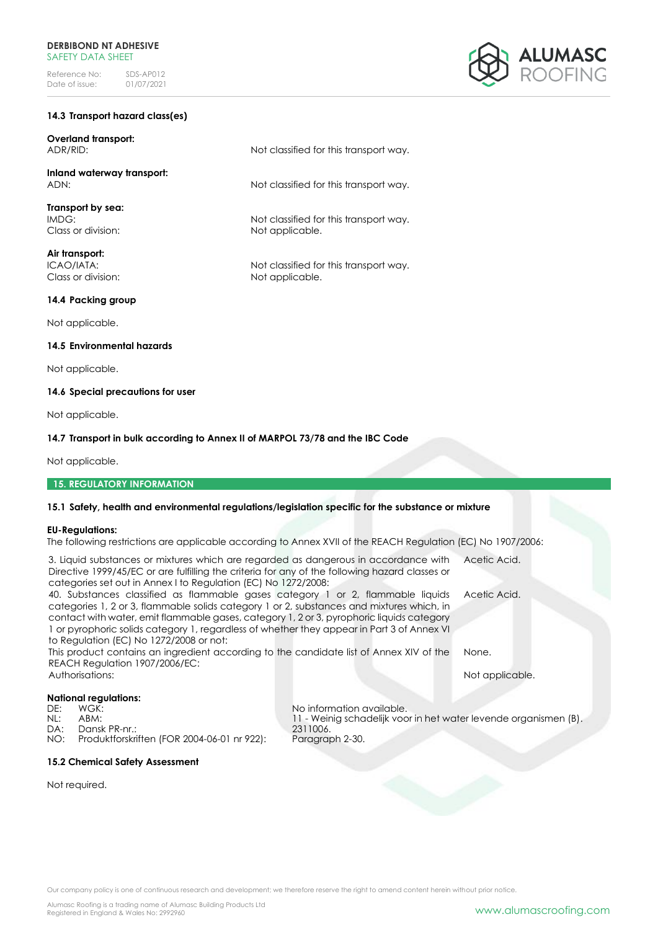# **14.3 Transport hazard class(es)**

**Overland transport:** ADR/RID: Not classified for this transport way.

**Inland waterway transport:** ADN:  $\blacksquare$  Not classified for this transport way.

**Transport by sea:** IMDG: Not classified for this transport way. Class or division: Not applicable.

**Air transport:** ICAO/IATA:<br>
Class or division:<br>
Class or division:<br>
Not applicable.

# **14.4 Packing group**

Not applicable.

# **14.5 Environmental hazards**

Not applicable.

# **14.6 Special precautions for user**

Not applicable.

# **14.7 Transport in bulk according to Annex II of MARPOL 73/78 and the IBC Code**

Not applicable.

# **15. REGULATORY INFORMATION**

#### **15.1 Safety, health and environmental regulations/legislation specific for the substance or mixture**

#### **EU-Regulations:**

The following restrictions are applicable according to Annex XVII of the REACH Regulation (EC) No 1907/2006:

Not applicable.

| 3. Liquid substances or mixtures which are regarded as dangerous in accordance with Acetic Acid. |                                                                  |                 |  |  |
|--------------------------------------------------------------------------------------------------|------------------------------------------------------------------|-----------------|--|--|
| Directive 1999/45/EC or are fulfilling the criteria for any of the following hazard classes or   |                                                                  |                 |  |  |
| categories set out in Annex I to Regulation (EC) No 1272/2008:                                   |                                                                  |                 |  |  |
| 40. Substances classified as flammable gases category 1 or 2, flammable liquids                  |                                                                  | Acetic Acid.    |  |  |
| categories 1, 2 or 3, flammable solids category 1 or 2, substances and mixtures which, in        |                                                                  |                 |  |  |
| contact with water, emit flammable gases, category 1, 2 or 3, pyrophoric liquids category        |                                                                  |                 |  |  |
| 1 or pyrophoric solids category 1, regardless of whether they appear in Part 3 of Annex VI       |                                                                  |                 |  |  |
| to Regulation (EC) No 1272/2008 or not:                                                          |                                                                  |                 |  |  |
| This product contains an ingredient according to the candidate list of Annex XIV of the          |                                                                  | None.           |  |  |
| REACH Regulation 1907/2006/EC:                                                                   |                                                                  |                 |  |  |
| Authorisations:                                                                                  |                                                                  | Not applicable. |  |  |
|                                                                                                  |                                                                  |                 |  |  |
| <b>National regulations:</b>                                                                     |                                                                  |                 |  |  |
| WGK:<br>DE:                                                                                      | No information available.                                        |                 |  |  |
| NL:<br>ABM:                                                                                      | 11 - Weinig schadelijk voor in het water levende organismen (B). |                 |  |  |
| Dansk PR-nr.:<br>DA:                                                                             | 2311006.                                                         |                 |  |  |
| Produktforskriften (FOR 2004-06-01 nr 922):<br>NO:                                               | Paragraph 2-30.                                                  |                 |  |  |

# **15.2 Chemical Safety Assessment**

Not required.